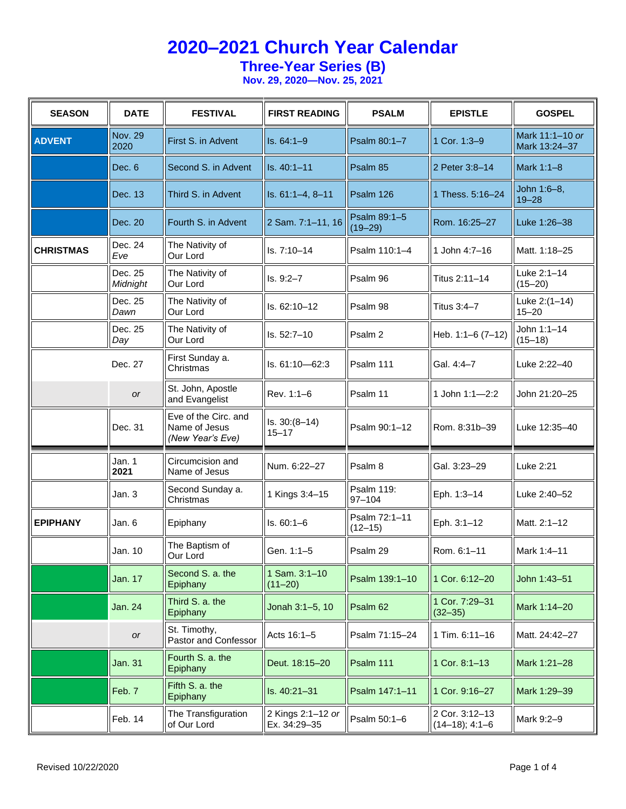### **Three-Year Series (B)**

| <b>SEASON</b>    | <b>DATE</b>            | <b>FESTIVAL</b>                                           | <b>FIRST READING</b>              | <b>PSALM</b>                    | <b>EPISTLE</b>                     | <b>GOSPEL</b>                    |
|------------------|------------------------|-----------------------------------------------------------|-----------------------------------|---------------------------------|------------------------------------|----------------------------------|
| <b>ADVENT</b>    | <b>Nov. 29</b><br>2020 | First S. in Advent                                        | $Is. 64:1-9$                      | Psalm 80:1-7                    | 1 Cor. 1:3-9                       | Mark 11:1-10 or<br>Mark 13:24-37 |
|                  | Dec. 6                 | Second S. in Advent                                       | Is. 40:1-11                       | Psalm 85                        | 2 Peter 3:8-14                     | Mark 1:1-8                       |
|                  | Dec. 13                | Third S. in Advent                                        | Is. 61:1-4, 8-11                  | Psalm 126                       | 1 Thess. 5:16-24                   | John 1:6-8,<br>$19 - 28$         |
|                  | Dec. 20                | Fourth S. in Advent                                       | 2 Sam. 7:1-11, 16                 | Psalm 89:1-5<br>$(19 - 29)$     | Rom. 16:25-27                      | Luke 1:26-38                     |
| <b>CHRISTMAS</b> | Dec. 24<br>Eve         | The Nativity of<br>Our Lord                               | ls. 7:10–14                       | Psalm 110:1-4                   | 1 John 4:7-16                      | Matt. 1:18-25                    |
|                  | Dec. 25<br>Midnight    | The Nativity of<br>Our Lord                               | $Is. 9:2-7$                       | Psalm 96                        | Titus 2:11-14                      | Luke 2:1-14<br>$(15 - 20)$       |
|                  | Dec. 25<br>Dawn        | The Nativity of<br>Our Lord                               | ls. 62:10-12                      | Psalm 98                        | Titus 3:4-7                        | Luke 2:(1-14)<br>$15 - 20$       |
|                  | Dec. 25<br>Day         | The Nativity of<br>Our Lord                               | $Is. 52:7-10$                     | Psalm 2                         | Heb. 1:1-6 (7-12)                  | John 1:1-14<br>$(15 - 18)$       |
|                  | Dec. 27                | First Sunday a.<br>Christmas                              | Is. 61:10-62:3                    | Psalm 111                       | Gal. 4:4-7                         | Luke 2:22-40                     |
|                  | or                     | St. John, Apostle<br>and Evangelist                       | Rev. 1:1-6                        | Psalm 11                        | 1 John 1:1-2:2                     | John 21:20-25                    |
|                  | Dec. 31                | Eve of the Circ. and<br>Name of Jesus<br>(New Year's Eve) | $Is. 30:(8-14)$<br>$15 - 17$      | Psalm 90:1-12                   | Rom. 8:31b-39                      | Luke 12:35-40                    |
|                  | Jan. 1<br>2021         | Circumcision and<br>Name of Jesus                         | Num. 6:22-27                      | Psalm 8                         | Gal. 3:23-29                       | Luke 2:21                        |
|                  | Jan. 3                 | Second Sunday a.<br>Christmas                             | 1 Kings 3:4-15                    | <b>Psalm 119:</b><br>$97 - 104$ | Eph. 1:3-14                        | Luke 2:40-52                     |
| <b>EPIPHANY</b>  | Jan. 6                 | Epiphany                                                  | $Is. 60:1-6$                      | Psalm 72:1-11<br>$(12 - 15)$    | Eph. 3:1-12                        | Matt. 2:1-12                     |
|                  | Jan. 10                | The Baptism of<br>Our Lord                                | Gen. 1:1-5                        | Psalm 29                        | Rom. 6:1-11                        | Mark 1:4-11                      |
|                  | Jan. 17                | Second S. a. the<br>Epiphany                              | 1 Sam. 3:1-10<br>$(11 - 20)$      | Psalm 139:1-10                  | 1 Cor. 6:12-20                     | John 1:43-51                     |
|                  | Jan. 24                | Third S. a. the<br>Epiphany                               | Jonah 3:1-5, 10                   | Psalm 62                        | 1 Cor. 7:29-31<br>$(32 - 35)$      | Mark 1:14-20                     |
|                  | or                     | St. Timothy,<br>Pastor and Confessor                      | Acts 16:1-5                       | Psalm 71:15-24                  | 1 Tim. 6:11-16                     | Matt. 24:42-27                   |
|                  | <b>Jan. 31</b>         | Fourth S. a. the<br>Epiphany                              | Deut. 18:15-20                    | Psalm 111                       | 1 Cor. 8:1-13                      | Mark 1:21-28                     |
|                  | Feb. 7                 | Fifth S. a. the<br>Epiphany                               | Is. 40:21-31                      | Psalm 147:1-11                  | 1 Cor. 9:16-27                     | Mark 1:29-39                     |
|                  | Feb. 14                | The Transfiguration<br>of Our Lord                        | 2 Kings 2:1-12 or<br>Ex. 34:29-35 | Psalm 50:1-6                    | 2 Cor. 3:12-13<br>$(14-18); 4:1-6$ | Mark 9:2-9                       |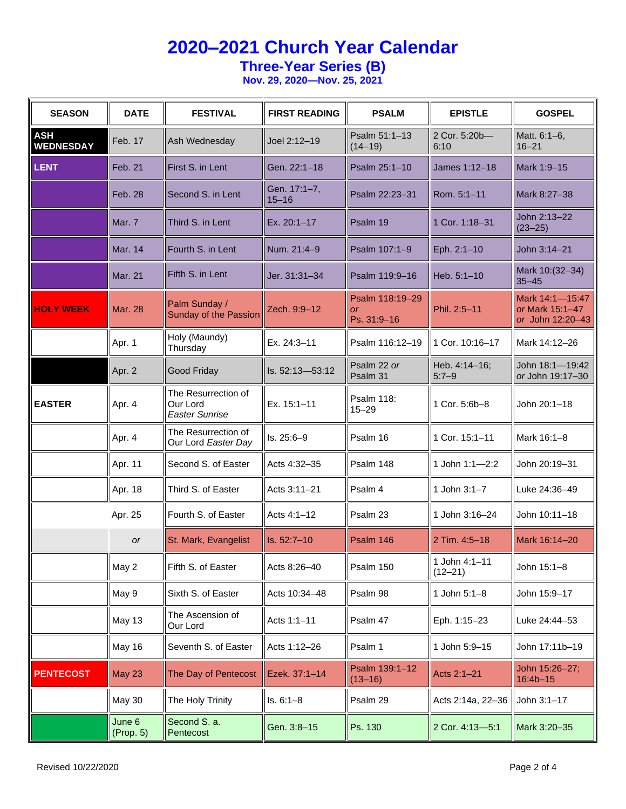**Three-Year Series (B)**

| <b>SEASON</b>                  | <b>DATE</b>         | <b>FESTIVAL</b>                                          | <b>FIRST READING</b>      | <b>PSALM</b>                                | <b>EPISTLE</b>               | <b>GOSPEL</b>                                          |
|--------------------------------|---------------------|----------------------------------------------------------|---------------------------|---------------------------------------------|------------------------------|--------------------------------------------------------|
| <b>ASH</b><br><b>WEDNESDAY</b> | Feb. 17             | Ash Wednesday                                            | Joel 2:12-19              | Psalm 51:1-13<br>$(14 - 19)$                | 2 Cor. 5:20b-<br>6:10        | Matt. 6:1-6,<br>$16 - 21$                              |
| <b>LENT</b>                    | Feb. 21             | First S. in Lent                                         | Gen. 22:1-18              | Psalm 25:1-10                               | James 1:12-18                | Mark 1:9-15                                            |
|                                | Feb. 28             | Second S. in Lent                                        | Gen. 17:1-7,<br>$15 - 16$ | Psalm 22:23-31                              | Rom. 5:1-11                  | Mark 8:27-38                                           |
|                                | Mar. 7              | Third S. in Lent                                         | Ex. 20:1-17               | Psalm 19                                    | 1 Cor. 1:18-31               | John 2:13-22<br>$(23 - 25)$                            |
|                                | <b>Mar. 14</b>      | Fourth S. in Lent                                        | Num. 21:4-9               | Psalm 107:1-9                               | Eph. 2:1-10                  | John 3:14-21                                           |
|                                | <b>Mar. 21</b>      | Fifth S. in Lent                                         | Jer. 31:31-34             | Psalm 119:9-16                              | Heb. 5:1-10                  | Mark 10: (32-34)<br>$35 - 45$                          |
| <b>HOLY WEEK</b>               | <b>Mar. 28</b>      | Palm Sunday /<br>Sunday of the Passion                   | Zech. 9:9-12              | Psalm 118:19-29<br><b>or</b><br>Ps. 31:9-16 | Phil. 2:5-11                 | Mark 14:1-15:47<br>or Mark 15:1-47<br>or John 12:20-43 |
|                                | Apr. 1              | Holy (Maundy)<br>Thursday                                | Ex. 24:3-11               | Psalm 116:12-19                             | 1 Cor. 10:16-17              | Mark 14:12-26                                          |
|                                | Apr. 2              | Good Friday                                              | Is. 52:13-53:12           | Psalm 22 or<br>Psalm 31                     | Heb. 4:14-16;<br>$5:7-9$     | John 18:1-19:42<br>or John 19:17-30                    |
| <b>EASTER</b>                  | Apr. 4              | The Resurrection of<br>Our Lord<br><b>Easter Sunrise</b> | Ex. 15:1-11               | <b>Psalm 118:</b><br>$15 - 29$              | 1 Cor. 5:6b-8                | John 20:1-18                                           |
|                                | Apr. 4              | The Resurrection of<br>Our Lord Easter Day               | Is. 25:6-9                | Psalm 16                                    | 1 Cor. 15:1-11               | Mark 16:1-8                                            |
|                                | Apr. 11             | Second S. of Easter                                      | Acts 4:32-35              | Psalm 148                                   | 1 John 1:1-2:2               | John 20:19-31                                          |
|                                | Apr. 18             | Third S. of Easter                                       | Acts 3:11-21              | Psalm 4                                     | 1 John 3:1-7                 | Luke 24:36-49                                          |
|                                | Apr. 25             | Fourth S. of Easter                                      | Acts 4:1-12               | Psalm 23                                    | 1 John 3:16-24               | John 10:11-18                                          |
|                                | <b>or</b>           | St. Mark, Evangelist                                     | Is. 52:7-10               | Psalm 146                                   | 2 Tim. 4:5-18                | Mark 16:14-20                                          |
|                                | May 2               | Fifth S. of Easter                                       | Acts 8:26-40              | Psalm 150                                   | 1 John 4:1-11<br>$(12 - 21)$ | John 15:1-8                                            |
|                                | May 9               | Sixth S. of Easter                                       | Acts 10:34-48             | Psalm 98                                    | 1 John 5:1-8                 | John 15:9-17                                           |
|                                | May 13              | The Ascension of<br>Our Lord                             | Acts 1:1-11               | Psalm 47                                    | Eph. 1:15-23                 | Luke 24:44-53                                          |
|                                | May 16              | Seventh S. of Easter                                     | Acts 1:12-26              | Psalm 1                                     | 1 John 5:9-15                | John 17:11b-19                                         |
| <b>PENTECOST</b>               | May 23              | The Day of Pentecost                                     | Ezek. 37:1-14             | Psalm 139:1-12<br>$(13 - 16)$               | Acts 2:1-21                  | John 15:26-27;<br>$16:4b - 15$                         |
|                                | May 30              | The Holy Trinity                                         | $Is. 6:1-8$               | Psalm 29                                    | Acts 2:14a, 22-36            | John 3:1-17                                            |
|                                | June 6<br>(Prop. 5) | Second S. a.<br>Pentecost                                | Gen. 3:8-15               | Ps. 130                                     | 2 Cor. 4:13-5:1              | Mark 3:20-35                                           |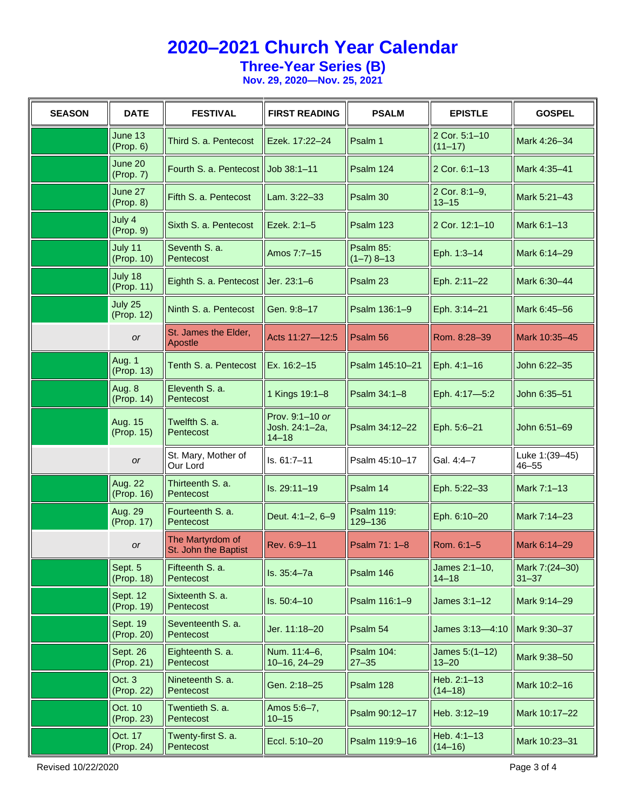**Three-Year Series (B)**

| <b>SEASON</b> | <b>DATE</b>            | <b>FESTIVAL</b>                          | <b>FIRST READING</b>                           | <b>PSALM</b>                   | <b>EPISTLE</b>                 | <b>GOSPEL</b>                |
|---------------|------------------------|------------------------------------------|------------------------------------------------|--------------------------------|--------------------------------|------------------------------|
|               | June 13<br>(Prop. 6)   | Third S. a. Pentecost                    | Ezek. 17:22-24                                 | Psalm 1                        | 2 Cor. 5:1-10<br>$(11 - 17)$   | Mark 4:26-34                 |
|               | June 20<br>(Prop. 7)   | Fourth S. a. Pentecost Job 38:1-11       |                                                | Psalm 124                      | 2 Cor. 6:1-13                  | Mark 4:35-41                 |
|               | June 27<br>(Prop. 8)   | Fifth S. a. Pentecost                    | Lam. 3:22-33                                   | Psalm 30                       | 2 Cor. 8:1-9,<br>$13 - 15$     | Mark 5:21-43                 |
|               | July 4<br>(Prop. 9)    | Sixth S. a. Pentecost                    | Ezek. 2:1-5                                    | Psalm 123                      | 2 Cor. 12:1-10                 | Mark 6:1-13                  |
|               | July 11<br>(Prop. 10)  | Seventh S. a.<br>Pentecost               | Amos 7:7-15                                    | Psalm 85:<br>$(1-7)$ 8-13      | Eph. 1:3-14                    | Mark 6:14-29                 |
|               | July 18<br>(Prop. 11)  | Eighth S. a. Pentecost                   | Jer. $23:1-6$                                  | Psalm 23                       | Eph. 2:11-22                   | Mark 6:30-44                 |
|               | July 25<br>(Prop. 12)  | Ninth S. a. Pentecost                    | Gen. 9:8-17                                    | Psalm 136:1-9                  | Eph. 3:14-21                   | Mark 6:45-56                 |
|               | or                     | St. James the Elder,<br>Apostle          | Acts 11:27-12:5                                | Psalm 56                       | Rom. 8:28-39                   | Mark 10:35-45                |
|               | Aug. 1<br>(Prop. 13)   | Tenth S. a. Pentecost                    | Ex. 16:2-15                                    | Psalm 145:10-21                | Eph. 4:1-16                    | John 6:22-35                 |
|               | Aug. 8<br>(Prop. 14)   | Eleventh S. a.<br>Pentecost              | 1 Kings 19:1-8                                 | Psalm 34:1-8                   | Eph. 4:17-5:2                  | John 6:35-51                 |
|               | Aug. 15<br>(Prop. 15)  | Twelfth S. a.<br>Pentecost               | Prov. 9:1-10 or<br>Josh. 24:1-2a,<br>$14 - 18$ | Psalm 34:12-22                 | Eph. 5:6-21                    | John 6:51-69                 |
|               | or                     | St. Mary, Mother of<br>Our Lord          | $Is. 61:7-11$                                  | Psalm 45:10-17                 | Gal. 4:4-7                     | Luke 1: (39-45)<br>$46 - 55$ |
|               | Aug. 22<br>(Prop. 16)  | Thirteenth S. a.<br>Pentecost            | Is. 29:11-19                                   | Psalm 14                       | Eph. 5:22-33                   | Mark 7:1-13                  |
|               | Aug. 29<br>(Prop. 17)  | Fourteenth S. a.<br>Pentecost            | Deut. 4:1-2, 6-9                               | <b>Psalm 119:</b><br>129-136   | Eph. 6:10-20                   | Mark 7:14-23                 |
|               | <b>or</b>              | The Martyrdom of<br>St. John the Baptist | Rev. 6:9-11                                    | Psalm 71: 1-8                  | Rom. 6:1-5                     | Mark 6:14-29                 |
|               | Sept. 5<br>(Prop. 18)  | Fifteenth S. a.<br>Pentecost             | ls. 35:4-7a                                    | Psalm 146                      | James 2:1-10,<br>$14 - 18$     | Mark 7:(24-30)<br>$31 - 37$  |
|               | Sept. 12<br>(Prop. 19) | Sixteenth S. a.<br>Pentecost             | Is. 50:4-10                                    | Psalm 116:1-9                  | James $3:1-12$                 | Mark 9:14-29                 |
|               | Sept. 19<br>(Prop. 20) | Seventeenth S. a.<br>Pentecost           | Jer. 11:18-20                                  | Psalm 54                       | James 3:13-4:10   Mark 9:30-37 |                              |
|               | Sept. 26<br>(Prop. 21) | Eighteenth S. a.<br>Pentecost            | Num. 11:4-6,<br>10-16, 24-29                   | <b>Psalm 104:</b><br>$27 - 35$ | James $5:(1-12)$<br>$13 - 20$  | Mark 9:38-50                 |
|               | Oct. 3<br>(Prop. 22)   | Nineteenth S. a.<br>Pentecost            | Gen. 2:18-25                                   | Psalm 128                      | Heb. 2:1-13<br>$(14 - 18)$     | Mark 10:2-16                 |
|               | Oct. 10<br>(Prop. 23)  | Twentieth S. a.<br>Pentecost             | Amos 5:6-7,<br>$10 - 15$                       | Psalm 90:12-17                 | Heb. 3:12-19                   | Mark 10:17-22                |
|               | Oct. 17<br>(Prop. 24)  | Twenty-first S. a.<br>Pentecost          | Eccl. 5:10-20                                  | Psalm 119:9-16                 | Heb. 4:1-13<br>$(14 - 16)$     | Mark 10:23-31                |